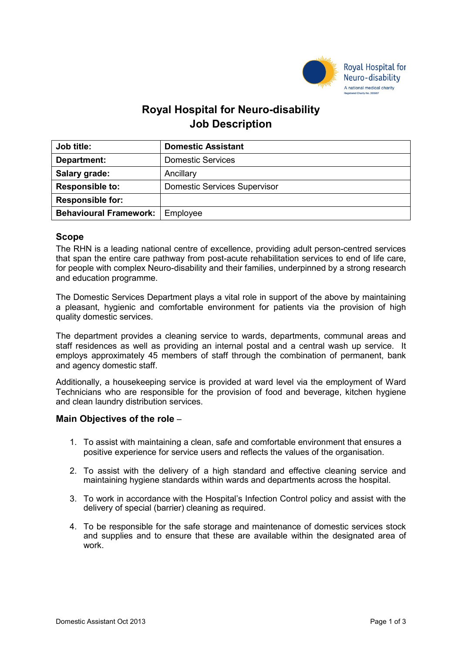

# **Royal Hospital for Neuro-disability Job Description**

| <b>Job title:</b>                        | <b>Domestic Assistant</b>           |
|------------------------------------------|-------------------------------------|
| Department:                              | <b>Domestic Services</b>            |
| Salary grade:                            | Ancillary                           |
| <b>Responsible to:</b>                   | <b>Domestic Services Supervisor</b> |
| <b>Responsible for:</b>                  |                                     |
| <b>Behavioural Framework:</b>   Employee |                                     |

### **Scope**

The RHN is a leading national centre of excellence, providing adult person-centred services that span the entire care pathway from post-acute rehabilitation services to end of life care, for people with complex Neuro-disability and their families, underpinned by a strong research and education programme.

The Domestic Services Department plays a vital role in support of the above by maintaining a pleasant, hygienic and comfortable environment for patients via the provision of high quality domestic services.

The department provides a cleaning service to wards, departments, communal areas and staff residences as well as providing an internal postal and a central wash up service. It employs approximately 45 members of staff through the combination of permanent, bank and agency domestic staff.

Additionally, a housekeeping service is provided at ward level via the employment of Ward Technicians who are responsible for the provision of food and beverage, kitchen hygiene and clean laundry distribution services.

### **Main Objectives of the role** –

- 1. To assist with maintaining a clean, safe and comfortable environment that ensures a positive experience for service users and reflects the values of the organisation.
- 2. To assist with the delivery of a high standard and effective cleaning service and maintaining hygiene standards within wards and departments across the hospital.
- 3. To work in accordance with the Hospital's Infection Control policy and assist with the delivery of special (barrier) cleaning as required.
- 4. To be responsible for the safe storage and maintenance of domestic services stock and supplies and to ensure that these are available within the designated area of work.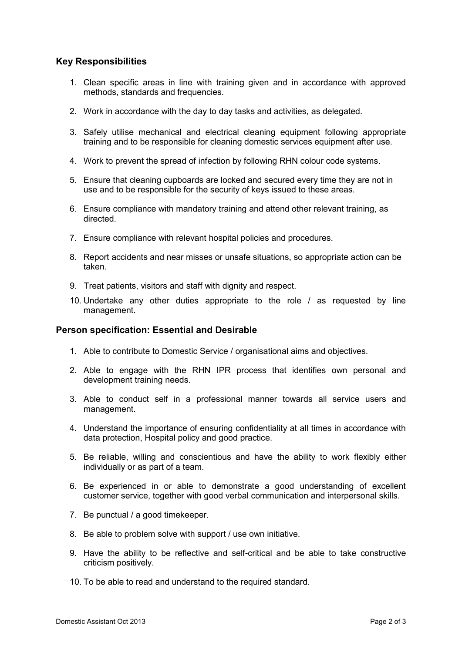## **Key Responsibilities**

- 1. Clean specific areas in line with training given and in accordance with approved methods, standards and frequencies.
- 2. Work in accordance with the day to day tasks and activities, as delegated.
- 3. Safely utilise mechanical and electrical cleaning equipment following appropriate training and to be responsible for cleaning domestic services equipment after use.
- 4. Work to prevent the spread of infection by following RHN colour code systems.
- 5. Ensure that cleaning cupboards are locked and secured every time they are not in use and to be responsible for the security of keys issued to these areas.
- 6. Ensure compliance with mandatory training and attend other relevant training, as directed.
- 7. Ensure compliance with relevant hospital policies and procedures.
- 8. Report accidents and near misses or unsafe situations, so appropriate action can be taken.
- 9. Treat patients, visitors and staff with dignity and respect.
- 10. Undertake any other duties appropriate to the role / as requested by line management.

### **Person specification: Essential and Desirable**

- 1. Able to contribute to Domestic Service / organisational aims and objectives.
- 2. Able to engage with the RHN IPR process that identifies own personal and development training needs.
- 3. Able to conduct self in a professional manner towards all service users and management.
- 4. Understand the importance of ensuring confidentiality at all times in accordance with data protection, Hospital policy and good practice.
- 5. Be reliable, willing and conscientious and have the ability to work flexibly either individually or as part of a team.
- 6. Be experienced in or able to demonstrate a good understanding of excellent customer service, together with good verbal communication and interpersonal skills.
- 7. Be punctual / a good timekeeper.
- 8. Be able to problem solve with support / use own initiative.
- 9. Have the ability to be reflective and self-critical and be able to take constructive criticism positively.
- 10. To be able to read and understand to the required standard.